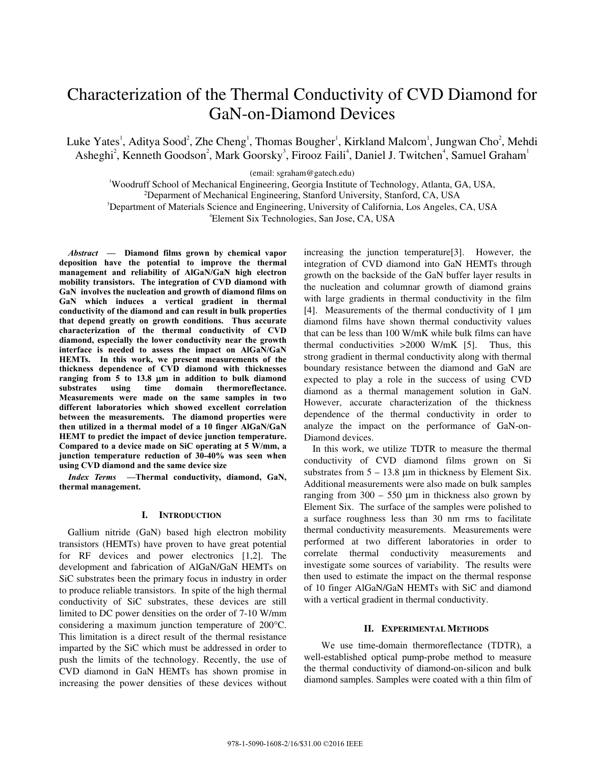# Characterization of the Thermal Conductivity of CVD Diamond for GaN-on-Diamond Devices

Luke Yates<sup>1</sup>, Aditya Sood<sup>2</sup>, Zhe Cheng<sup>1</sup>, Thomas Bougher<sup>1</sup>, Kirkland Malcom<sup>1</sup>, Jungwan Cho<sup>2</sup>, Mehdi Asheghi<sup>2</sup>, Kenneth Goodson<sup>2</sup>, Mark Goorsky<sup>3</sup>, Firooz Faili<sup>4</sup>, Daniel J. Twitchen<sup>4</sup>, Samuel Graham<sup>1</sup>

(email: sgraham@gatech.edu) 1 Woodruff School of Mechanical Engineering, Georgia Institute of Technology, Atlanta, GA, USA, 2 Deparment of Mechanical Engineering, Stanford University, Stanford, CA, USA <sup>3</sup>Department of Materials Science and Engineering, University of California, Los Angeles, CA, USA <sup>4</sup>Element Six Technologies, Sen Jose, CA, USA Element Six Technologies, San Jose, CA, USA

*Abstract* **— Diamond films grown by chemical vapor deposition have the potential to improve the thermal management and reliability of AlGaN/GaN high electron mobility transistors. The integration of CVD diamond with GaN involves the nucleation and growth of diamond films on GaN which induces a vertical gradient in thermal conductivity of the diamond and can result in bulk properties that depend greatly on growth conditions. Thus accurate characterization of the thermal conductivity of CVD diamond, especially the lower conductivity near the growth interface is needed to assess the impact on AlGaN/GaN HEMTs. In this work, we present measurements of the thickness dependence of CVD diamond with thicknesses ranging from 5 to 13.8** μ**m in addition to bulk diamond substrates using time domain thermoreflectance. Measurements were made on the same samples in two different laboratories which showed excellent correlation between the measurements. The diamond properties were then utilized in a thermal model of a 10 finger AlGaN/GaN HEMT to predict the impact of device junction temperature. Compared to a device made on SiC operating at 5 W/mm, a junction temperature reduction of 30-40% was seen when using CVD diamond and the same device size** 

*Index Terms* **—Thermal conductivity, diamond, GaN, thermal management.**

### **I. INTRODUCTION**

Gallium nitride (GaN) based high electron mobility transistors (HEMTs) have proven to have great potential for RF devices and power electronics [1,2]. The development and fabrication of AlGaN/GaN HEMTs on SiC substrates been the primary focus in industry in order to produce reliable transistors. In spite of the high thermal conductivity of SiC substrates, these devices are still limited to DC power densities on the order of 7-10 W/mm considering a maximum junction temperature of 200°C. This limitation is a direct result of the thermal resistance imparted by the SiC which must be addressed in order to push the limits of the technology. Recently, the use of CVD diamond in GaN HEMTs has shown promise in increasing the power densities of these devices without

increasing the junction temperature[3]. However, the integration of CVD diamond into GaN HEMTs through growth on the backside of the GaN buffer layer results in the nucleation and columnar growth of diamond grains with large gradients in thermal conductivity in the film [4]. Measurements of the thermal conductivity of 1 μm diamond films have shown thermal conductivity values that can be less than 100 W/mK while bulk films can have thermal conductivities >2000 W/mK [5]. Thus, this strong gradient in thermal conductivity along with thermal boundary resistance between the diamond and GaN are expected to play a role in the success of using CVD diamond as a thermal management solution in GaN. However, accurate characterization of the thickness dependence of the thermal conductivity in order to analyze the impact on the performance of GaN-on-Diamond devices.

In this work, we utilize TDTR to measure the thermal conductivity of CVD diamond films grown on Si substrates from  $5 - 13.8$   $\mu$ m in thickness by Element Six. Additional measurements were also made on bulk samples ranging from  $300 - 550 \mu m$  in thickness also grown by Element Six. The surface of the samples were polished to a surface roughness less than 30 nm rms to facilitate thermal conductivity measurements. Measurements were performed at two different laboratories in order to correlate thermal conductivity measurements and investigate some sources of variability. The results were then used to estimate the impact on the thermal response of 10 finger AlGaN/GaN HEMTs with SiC and diamond with a vertical gradient in thermal conductivity.

#### **II. EXPERIMENTAL METHODS**

We use time-domain thermoreflectance (TDTR), a well-established optical pump-probe method to measure the thermal conductivity of diamond-on-silicon and bulk diamond samples. Samples were coated with a thin film of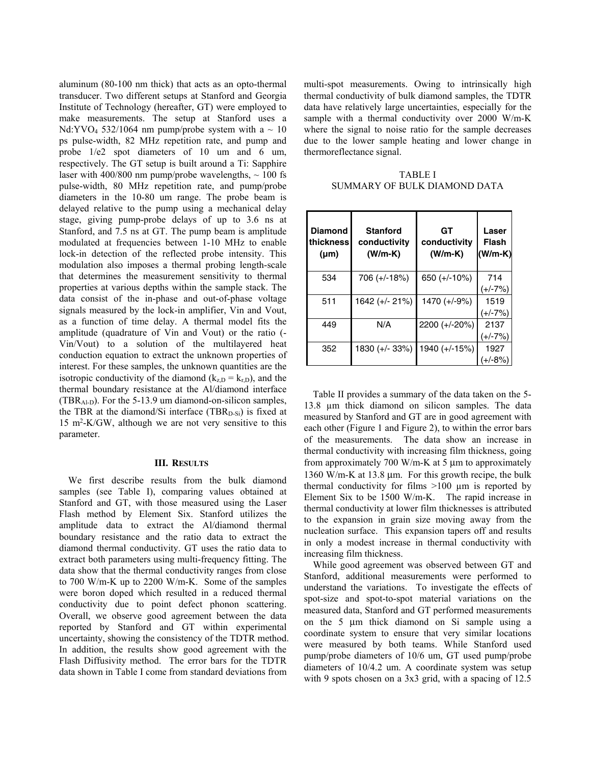aluminum (80-100 nm thick) that acts as an opto-thermal transducer. Two different setups at Stanford and Georgia Institute of Technology (hereafter, GT) were employed to make measurements. The setup at Stanford uses a Nd:YVO<sub>4</sub> 532/1064 nm pump/probe system with a  $\sim 10$ ps pulse-width, 82 MHz repetition rate, and pump and probe 1/e2 spot diameters of 10 um and 6 um, respectively. The GT setup is built around a Ti: Sapphire laser with 400/800 nm pump/probe wavelengths,  $\sim 100$  fs pulse-width, 80 MHz repetition rate, and pump/probe diameters in the 10-80 um range. The probe beam is delayed relative to the pump using a mechanical delay stage, giving pump-probe delays of up to 3.6 ns at Stanford, and 7.5 ns at GT. The pump beam is amplitude modulated at frequencies between 1-10 MHz to enable lock-in detection of the reflected probe intensity. This modulation also imposes a thermal probing length-scale that determines the measurement sensitivity to thermal properties at various depths within the sample stack. The data consist of the in-phase and out-of-phase voltage signals measured by the lock-in amplifier, Vin and Vout, as a function of time delay. A thermal model fits the amplitude (quadrature of Vin and Vout) or the ratio (- Vin/Vout) to a solution of the multilayered heat conduction equation to extract the unknown properties of interest. For these samples, the unknown quantities are the isotropic conductivity of the diamond  $(k_{z,D} = k_{r,D})$ , and the thermal boundary resistance at the Al/diamond interface (TBRAl-D). For the 5-13.9 um diamond-on-silicon samples, the TBR at the diamond/Si interface  $(TBR<sub>D-Si</sub>)$  is fixed at 15 m2 -K/GW, although we are not very sensitive to this parameter.

#### **III. RESULTS**

We first describe results from the bulk diamond samples (see Table I), comparing values obtained at Stanford and GT, with those measured using the Laser Flash method by Element Six. Stanford utilizes the amplitude data to extract the Al/diamond thermal boundary resistance and the ratio data to extract the diamond thermal conductivity. GT uses the ratio data to extract both parameters using multi-frequency fitting. The data show that the thermal conductivity ranges from close to 700 W/m-K up to 2200 W/m-K. Some of the samples were boron doped which resulted in a reduced thermal conductivity due to point defect phonon scattering. Overall, we observe good agreement between the data reported by Stanford and GT within experimental uncertainty, showing the consistency of the TDTR method. In addition, the results show good agreement with the Flash Diffusivity method. The error bars for the TDTR data shown in Table I come from standard deviations from

multi-spot measurements. Owing to intrinsically high thermal conductivity of bulk diamond samples, the TDTR data have relatively large uncertainties, especially for the sample with a thermal conductivity over 2000 W/m-K where the signal to noise ratio for the sample decreases due to the lower sample heating and lower change in thermoreflectance signal.

TABLE I SUMMARY OF BULK DIAMOND DATA

| <b>Diamond</b><br>thickness<br>$(\mu m)$ | <b>Stanford</b><br>conductivity<br>(W/m-K) | GТ<br>conductivity<br>$(W/m-K)$ | Laser<br><b>Flash</b><br>(W/m-K) |
|------------------------------------------|--------------------------------------------|---------------------------------|----------------------------------|
| 534                                      | 706 (+/-18%)                               | 650 (+/-10%)                    | 714<br>$(+/-7%)$                 |
| 511                                      | $1642 (+/- 21%)$                           | 1470 (+/-9%)                    | 1519<br>$(+/-7%)$                |
| 449                                      | N/A                                        | 2200 (+/-20%)                   | 2137<br>$(+/-7%)$                |
| 352                                      | 1830 (+/- 33%)                             | 1940 (+/-15%)                   | 1927<br>(+/-8%)                  |

Table II provides a summary of the data taken on the 5- 13.8 µm thick diamond on silicon samples. The data measured by Stanford and GT are in good agreement with each other (Figure 1 and Figure 2), to within the error bars of the measurements. The data show an increase in thermal conductivity with increasing film thickness, going from approximately 700 W/m-K at 5  $\mu$ m to approximately 1360 W/m-K at 13.8 μm. For this growth recipe, the bulk thermal conductivity for films  $>100 \mu m$  is reported by Element Six to be 1500 W/m-K. The rapid increase in thermal conductivity at lower film thicknesses is attributed to the expansion in grain size moving away from the nucleation surface. This expansion tapers off and results in only a modest increase in thermal conductivity with increasing film thickness.

While good agreement was observed between GT and Stanford, additional measurements were performed to understand the variations. To investigate the effects of spot-size and spot-to-spot material variations on the measured data, Stanford and GT performed measurements on the 5 μm thick diamond on Si sample using a coordinate system to ensure that very similar locations were measured by both teams. While Stanford used pump/probe diameters of 10/6 um, GT used pump/probe diameters of 10/4.2 um. A coordinate system was setup with 9 spots chosen on a 3x3 grid, with a spacing of 12.5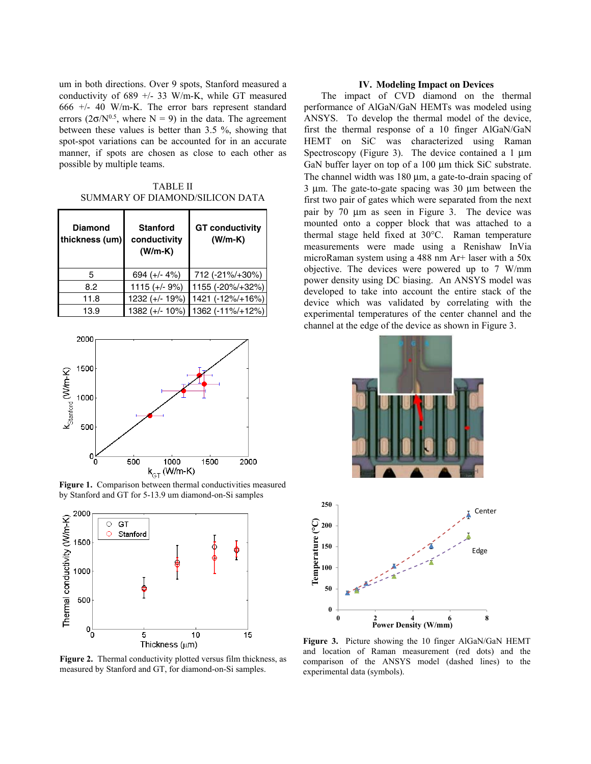um in both directions. Over 9 spots, Stanford measured a conductivity of 689 +/- 33 W/m-K, while GT measured 666 +/- 40 W/m-K. The error bars represent standard errors ( $2\sigma/N^{0.5}$ , where N = 9) in the data. The agreement between these values is better than 3.5 %, showing that spot-spot variations can be accounted for in an accurate manner, if spots are chosen as close to each other as possible by multiple teams.

TABLE II SUMMARY OF DIAMOND/SILICON DATA

| <b>Diamond</b><br>thickness (um) | <b>Stanford</b><br>conductivity<br>$(W/m-K)$ | <b>GT conductivity</b><br>$(W/m-K)$ |
|----------------------------------|----------------------------------------------|-------------------------------------|
| 5                                | 694 $(+/- 4%)$                               | 712 (-21%/+30%)                     |
| 8.2                              | $1115 (+/- 9%)$                              | 1155 (-20%/+32%)                    |
| 11.8                             | $1232 (+/- 19%)$                             | 1421 (-12%/+16%)                    |
| 13.9                             | $1382 (+/- 10%)$                             | 1362 (-11%/+12%)                    |



**Figure 1.** Comparison between thermal conductivities measured by Stanford and GT for 5-13.9 um diamond-on-Si samples



**Figure 2.** Thermal conductivity plotted versus film thickness, as measured by Stanford and GT, for diamond-on-Si samples.

## **IV. Modeling Impact on Devices**

The impact of CVD diamond on the thermal performance of AlGaN/GaN HEMTs was modeled using ANSYS. To develop the thermal model of the device, first the thermal response of a 10 finger AlGaN/GaN HEMT on SiC was characterized using Raman Spectroscopy (Figure 3). The device contained a 1 μm GaN buffer layer on top of a 100 μm thick SiC substrate. The channel width was 180 μm, a gate-to-drain spacing of 3 μm. The gate-to-gate spacing was 30 μm between the first two pair of gates which were separated from the next pair by 70 μm as seen in Figure 3. The device was mounted onto a copper block that was attached to a thermal stage held fixed at 30°C. Raman temperature measurements were made using a Renishaw InVia microRaman system using a 488 nm Ar+ laser with a 50x objective. The devices were powered up to 7 W/mm power density using DC biasing. An ANSYS model was developed to take into account the entire stack of the device which was validated by correlating with the experimental temperatures of the center channel and the channel at the edge of the device as shown in Figure 3.





**Figure 3.** Picture showing the 10 finger AlGaN/GaN HEMT and location of Raman measurement (red dots) and the comparison of the ANSYS model (dashed lines) to the experimental data (symbols).